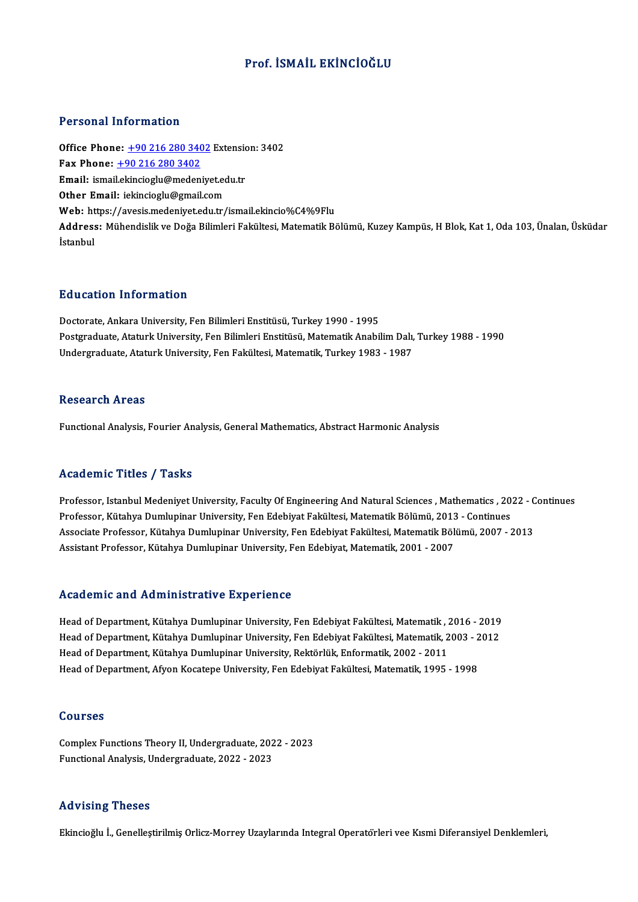#### Prof. İSMAİL EKİNCİOĞLU

#### Personal Information

**Personal Information<br>Office Phone: <u>+90 216 280 3402</u> Extension: 3402**<br>Fax Phone: 190 316 280 3402 Fax Phone:  $+90 216 280 3402$ Office Phone: <u>+90 216 280 3402</u> Extension<br>Fax Phone: <u>+90 216 280 3402</u><br>Email: ismai[l.ekincioglu@medeniye](tel:+90 216 280 3402)t.edu.tr Email: ismail.ekincioglu@medeniyet.edu.tr<br>Other Email: iekincioglu@gmail.com Web: https://avesis.medeniyet.edu.tr/ismail.ekincio%C4%9Flu Other Email: iekincioglu@gmail.com<br>Web: https://avesis.medeniyet.edu.tr/ismail.ekincio%C4%9Flu<br>Address: Mühendislik ve Doğa Bilimleri Fakültesi, Matematik Bölümü, Kuzey Kampüs, H Blok, Kat 1, Oda 103, Ünalan, Üsküdar Web: ht<br>Address<br>İstanbul

#### Education Information

Doctorate, Ankara University, Fen Bilimleri Enstitüsü, Turkey 1990 - 1995 Pu u cucron "Informucron"<br>Doctorate, Ankara University, Fen Bilimleri Enstitüsü, Turkey 1990 - 1995<br>Postgraduate, Ataturk University, Fen Bilimleri Enstitüsü, Matematik Anabilim Dalı, Turkey 1988 - 1990<br>Undergraduate, Atat Doctorate, Ankara University, Fen Bilimleri Enstitüsü, Turkey 1990 - 1995<br>Postgraduate, Ataturk University, Fen Bilimleri Enstitüsü, Matematik Anabilim Dalı,<br>Undergraduate, Ataturk University, Fen Fakültesi, Matematik, Tur Undergraduate, Ataturk University, Fen Fakültesi, Matematik, Turkey 1983 - 1987<br>Research Areas

Functional Analysis, Fourier Analysis, General Mathematics, Abstract Harmonic Analysis

#### Academic Titles / Tasks

Academic Titles / Tasks<br>Professor, Istanbul Medeniyet University, Faculty Of Engineering And Natural Sciences , Mathematics , 2022 - Continues<br>Professor, Kütabya Dumluninar University, Fan Edebiyet Falsiltesi Matematik Pöl Professor, Istanbul Medeniyet University, Faculty Of Engineering And Natural Sciences , Mathematics , 20<br>Professor, Kütahya Dumlupinar University, Fen Edebiyat Fakültesi, Matematik Bölümü, 2013 - Continues<br>Assesiste Brofes Professor, Istanbul Medeniyet University, Faculty Of Engineering And Natural Sciences , Mathematics , 2022 - C<br>Professor, Kütahya Dumlupinar University, Fen Edebiyat Fakültesi, Matematik Bölümü, 2013 - Continues<br>Associate Professor, Kütahya Dumlupinar University, Fen Edebiyat Fakültesi, Matematik Bölümü, 2013<br>Associate Professor, Kütahya Dumlupinar University, Fen Edebiyat Fakültesi, Matematik Böl<br>Assistant Professor, Kütahya Dumlupinar Uni Assistant Professor, Kütahya Dumlupinar University, Fen Edebiyat, Matematik, 2001 - 2007<br>Academic and Administrative Experience

Head of Department, Kütahya Dumlupinar University, Fen Edebiyat Fakültesi, Matematik, 2016 - 2019 Head of Department, Kütahya Dumlupinar University, Fen Edebiyat Fakültesi, Matematik , 2016 - 2019<br>Head of Department, Kütahya Dumlupinar University, Fen Edebiyat Fakültesi, Matematik, 2003 - 2012<br>Head of Department, Kütah Head of Department, Kütahya Dumlupinar University, Fen Edebiyat Fakültesi, Matematik , <mark>2</mark><br>Head of Department, Kütahya Dumlupinar University, Fen Edebiyat Fakültesi, Matematik, 2<br>Head of Department, Kütahya Dumlupinar Univ Head of Department, Kütahya Dumlupinar University, Fen Edebiyat Fakültesi, Matematik, 2003 - 2<br>Head of Department, Kütahya Dumlupinar University, Rektörlük, Enformatik, 2002 - 2011<br>Head of Department, Afyon Kocatepe Univer Head of Department, Afyon Kocatepe University, Fen Edebiyat Fakültesi, Matematik, 1995 - 1998<br>Courses

Courses<br>Complex Functions Theory II, Undergraduate, 2022 - 2023<br>Functional Analysis Undergraduate, 2022 - 2022 Sourbes<br>Complex Functions Theory II, Undergraduate, 202<br>Functional Analysis, Undergraduate, 2022 - 2023 Functional Analysis, Undergraduate, 2022 - 2023<br>Advising Theses

Ekincioğlu İ., Genelleştirilmiş Orlicz-Morrey Uzaylarında Integral Operatörleri vee Kısmi Diferansiyel Denklemleri,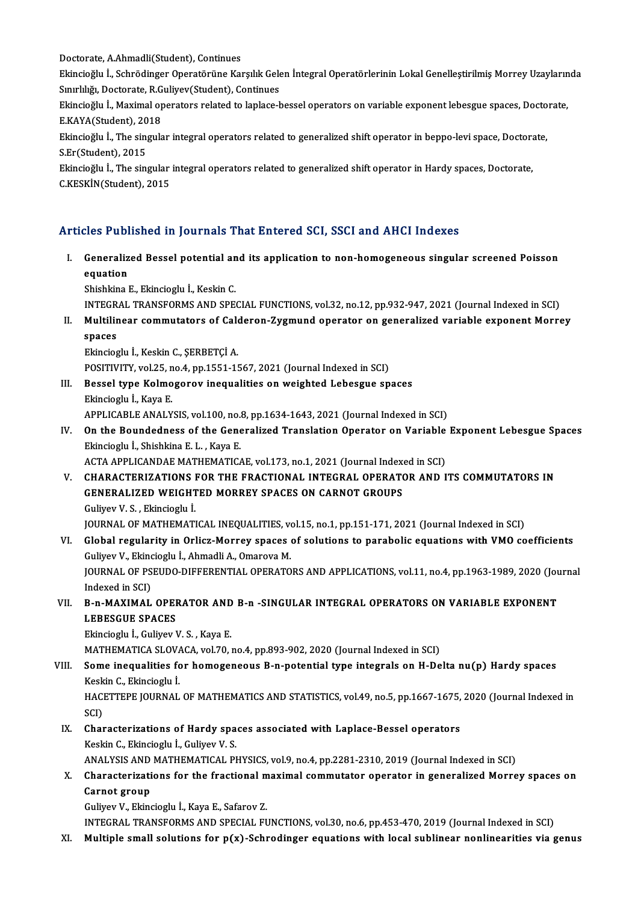Doctorate, A.Ahmadli(Student), Continues<br>Ekingieğlu İ. Sehrädinger Operatörüne Kel

Ekincioğlu İ., Schrödinger Operatörüne Karşılık Gelen İntegral Operatörlerinin Lokal Genelleştirilmiş Morrey Uzaylarında<br>Sınırlılığı, Doctorate, R.Guliyev(Student), Continues Doctorate, A.Ahmadli(Student), Continues<br>Ekincioğlu İ., Schrödinger Operatörüne Karşılık Gele<br>Sınırlılığı, Doctorate, R.Guliyev(Student), Continues<br>Ekincioğlu İ. Mayimal operatora related ta lanlasa k Ekincioğlu İ., Schrödinger Operatörüne Karşılık Gelen İntegral Operatörlerinin Lokal Genelleştirilmiş Morrey Uzayların<br>Sınırlılığı, Doctorate, R.Guliyev(Student), Continues<br>Ekincioğlu İ., Maximal operators related to lapla

Sınırlılığı, Doctorate, R.G<br>Ekincioğlu İ., Maximal op<br>E.KAYA(Student), 2018<br>Ekincioğlu İ., The singula Ekincioğlu İ., Maximal operators related to laplace-bessel operators on variable exponent lebesgue spaces, Docto<br>E.KAYA(Student), 2018<br>Ekincioğlu İ., The singular integral operators related to generalized shift operator in

E.KAYA(Student), 2018<br>Ekincioğlu İ., The singul:<br>S.Er(Student), 2015 Ekincioğlu İ., The singular integral operators related to generalized shift operator in beppo-levi space, Doctorate,<br>S.Er(Student), 2015<br>Ekincioğlu İ., The singular integral operators related to generalized shift operator

Ekincioglu I., The singular integral operators related to generalized shift operator in Hardy spaces, Doctorate,

#### Articles Published in Journals That Entered SCI, SSCI and AHCI Indexes

rticles Published in Journals That Entered SCI, SSCI and AHCI Indexes<br>I. Generalized Bessel potential and its application to non-homogeneous singular screened Poisson<br>Countion ences a west<br>Generaliz<br>Shishline l equation<br>Shishkina E., Ekincioglu İ., Keskin C. equation<br>Shishkina E., Ekincioglu İ., Keskin C.<br>INTEGRAL TRANSFORMS AND SPECIAL FUNCTIONS, vol.32, no.12, pp.932-947, 2021 (Journal Indexed in SCI)<br>Multilinear commutators of Colderon Zygmund energtor en generalized vorjab

Shishkina E., Ekincioglu İ., Keskin C.<br>INTEGRAL TRANSFORMS AND SPECIAL FUNCTIONS, vol.32, no.12, pp.932-947, 2021 (Journal Indexed in SCI)<br>II. Multilinear commutators of Calderon-Zygmund operator on generalized variabl INTEGR<br>Multilir<br>spaces<br>Elingias II. Multilinear commutators of Calderon-Zygmund operator on generalized variable exponent Morrey<br>spaces<br>Ekincioglu İ., Keskin C., ŞERBETÇİ A. spaces<br>Ekincioglu İ., Keskin C., ŞERBETÇİ A.<br>POSITIVITY, vol.25, no.4, pp.1551-1567, 2021 (Journal Indexed in SCI)<br>Bossel tune Kelmegerery incevalities en weighted Lebesgue sp

- III. Bessel type Kolmogorov inequalities on weighted Lebesgue spaces<br>Ekincioglu İ., Kaya E. POSITIVITY, vol.25, n<br>Bessel type Kolmo<br>Ekincioglu İ., Kaya E.<br>APPLICAPLE ANALY Bessel type Kolmogorov inequalities on weighted Lebesgue spaces<br>Ekincioglu İ., Kaya E.<br>APPLICABLE ANALYSIS, vol.100, no.8, pp.1634-1643, 2021 (Journal Indexed in SCI)<br>On the Boundadness of the Coneralized Translation Opera
- IV. On the Boundedness of the Generalized Translation Operator on Variable Exponent Lebesgue Spaces APPLICABLE ANALYSIS, vol.100, no.<br>**On the Boundedness of the Gene**<br>Ekincioglu İ., Shishkina E. L. , Kaya E.<br>ACTA APPLICANDAE MATUEMATIC On the Boundedness of the Generalized Translation Operator on Variable<br>Ekincioglu İ., Shishkina E. L. , Kaya E.<br>ACTA APPLICANDAE MATHEMATICAE, vol.173, no.1, 2021 (Journal Indexed in SCI)<br>CHARACTERIZATIONS FOR THE ERACTION

V. CHARACTERIZATIONS FOR THE FRACTIONAL INTEGRAL OPERATOR AND ITS COMMUTATORS IN ACTA APPLICANDAE MATHEMATICAE, vol.173, no.1, 2021 (Journal Indexent CHARACTERIZATIONS FOR THE FRACTIONAL INTEGRAL OPERATO<br>GENERALIZED WEIGHTED MORREY SPACES ON CARNOT GROUPS<br>Culiver V. S., Ekingiagh: İ GuliyevV.S. ,Ekincioglu İ. GENERALIZED WEIGHTED MORREY SPACES ON CARNOT GROUPS<br>Guliyev V. S. , Ekincioglu İ.<br>JOURNAL OF MATHEMATICAL INEQUALITIES, vol.15, no.1, pp.151-171, 2021 (Journal Indexed in SCI)<br>Clabel negularity in Orlige Marroy aneges of s

#### VI. Global regularity in Orlicz-Morrey spaces of solutions to parabolic equations with VMO coefficients JOURNAL OF MATHEMATICAL INEQUALITIES, ve<br>Global regularity in Orlicz-Morrey spaces<br>Guliyev V., Ekincioglu İ., Ahmadli A., Omarova M.<br>JOURNAL OF RSEUDO DIEFERENTIAL OPERATO Global regularity in Orlicz-Morrey spaces of solutions to parabolic equations with VMO coefficients<br>Guliyev V., Ekincioglu İ., Ahmadli A., Omarova M.<br>JOURNAL OF PSEUDO-DIFFERENTIAL OPERATORS AND APPLICATIONS, vol.11, no.4, Guliyev V., Ekino<br>JOURNAL OF PS<br>Indexed in SCI)<br>P. P. MAXIMAL

#### JOURNAL OF PSEUDO-DIFFERENTIAL OPERATORS AND APPLICATIONS, vol.11, no.4, pp.1963-1989, 2020 (Journal Indexed in SCI)<br>VII. B-n-MAXIMAL OPERATOR AND B-n -SINGULAR INTEGRAL OPERATORS ON VARIABLE EXPONENT Indexed in SCI)<br>B-n-MAXIMAL OPEI<br>LEBESGUE SPACES<br>Ekingiogly L. Culivor I B-n-MAXIMAL OPERATOR AND<br>LEBESGUE SPACES<br>Ekincioglu İ., Guliyev V. S. , Kaya E.<br>MATUEMATICA SLOVACA .vol 70 . LEBESGUE SPACES<br>Ekincioglu İ., Guliyev V. S. , Kaya E.<br>MATHEMATICA SLOVACA, vol.70, no.4, pp.893-902, 2020 (Journal Indexed in SCI)<br>Some inequalities for homogeneous B. n. notential tune integrals on H. De

### Ekincioglu İ., Guliyev V. S. , Kaya E.<br>MATHEMATICA SLOVACA, vol.70, no.4, pp.893-902, 2020 (Journal Indexed in SCI)<br>VIII. Some inequalities for homogeneous B-n-potential type integrals on H-Delta nu(p) Hardy spaces<br>Keskin MATHEMATICA SLOVA<br>Some inequalities fo<br>Keskin C., Ekincioglu İ.<br>HACETTERE JOURNAL Some inequalities for homogeneous B-n-potential type integrals on H-Delta nu(p) Hardy spaces<br>Keskin C., Ekincioglu İ.<br>HACETTEPE JOURNAL OF MATHEMATICS AND STATISTICS, vol.49, no.5, pp.1667-1675, 2020 (Journal Indexed in<br>SC

Kesk<br>HAC<br>SCI)<br>Char HACETTEPE JOURNAL OF MATHEMATICS AND STATISTICS, vol.49, no.5, pp.1667-1675,<br>SCI)<br>IX. Characterizations of Hardy spaces associated with Laplace-Bessel operators<br>Veskin C. Ekinojeshul, Culiusy V. S.

### SCI)<br>Characterizations of Hardy spa<br>Keskin C., Ekincioglu İ., Guliyev V. S.<br>ANALYSIS AND MATHEMATICAL PL Keskin C., Ekincioglu İ., Guliyev V. S.<br>ANALYSIS AND MATHEMATICAL PHYSICS, vol.9, no.4, pp.2281-2310, 2019 (Journal Indexed in SCI)

#### Keskin C., Ekincioglu İ., Guliyev V. S.<br>ANALYSIS AND MATHEMATICAL PHYSICS, vol.9, no.4, pp.2281-2310, 2019 (Journal Indexed in SCI)<br>X. Characterizations for the fractional maximal commutator operator in generalized Mor **ANALYSIS AND<br>Characterizati<br>Carnot group** Characterizations for the fractional m<br>Carnot group<br>Guliyev V., Ekincioglu İ., Kaya E., Safarov Z.<br>INTECRAL TRANSEORMS AND SPECIAL EL Carnot group<br>Guliyev V., Ekincioglu İ., Kaya E., Safarov Z.<br>INTEGRAL TRANSFORMS AND SPECIAL FUNCTIONS, vol.30, no.6, pp.453-470, 2019 (Journal Indexed in SCI)

XI. Multiple small solutions for  $p(x)$ -Schrodinger equations with local sublinear nonlinearities via genus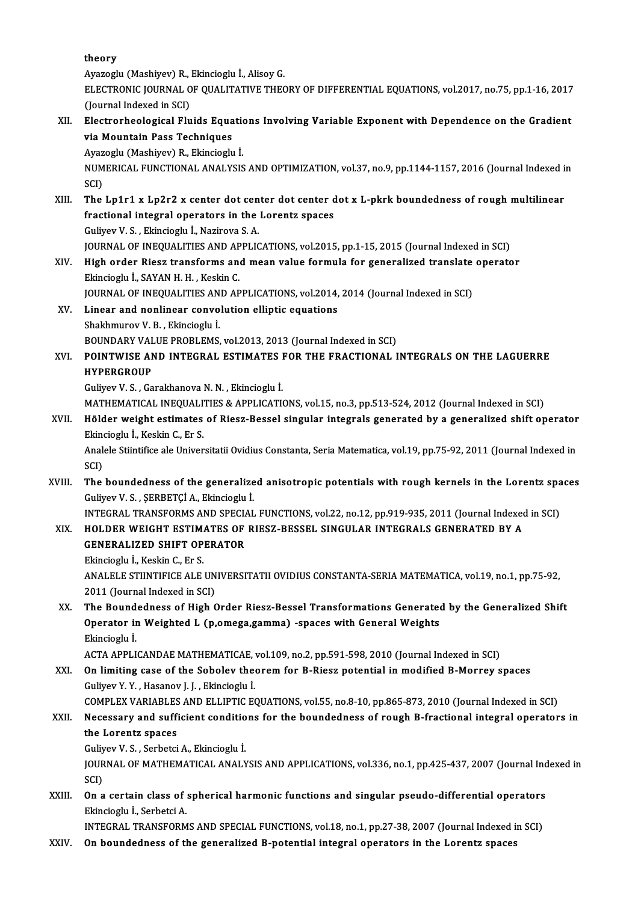theory

Ayazoglu (Mashiyev) R., Ekincioglu İ., Alisoy G. theory<br>Ayazoglu (Mashiyev) R., Ekincioglu İ., Alisoy G.<br>ELECTRONIC JOURNAL OF QUALITATIVE THEORY OF DIFFERENTIAL EQUATIONS, vol.2017, no.75, pp.1-16, 2017<br>(Jaunnal Indoved in SCL) Ayazoglu (Mashiyev) R.,<br>ELECTRONIC JOURNAL O<br>(Journal Indexed in SCI)<br>Electronbeological Elv ELECTRONIC JOURNAL OF QUALITATIVE THEORY OF DIFFERENTIAL EQUATIONS, vol.2017, no.75, pp.1-16, 2017<br>(Journal Indexed in SCI)<br>XII. Electrorheological Fluids Equations Involving Variable Exponent with Dependence on the Gradie

(Journal Indexed in SCI)<br>Electrorheological Fluids Equa<br>via Mountain Pass Techniques<br>Avazeglu (Mashiyay) B. Flingieglu Electrorheological Fluids Equationia<br>Via Mountain Pass Techniques<br>Ayazoglu (Mashiyev) R., Ekincioglu İ.<br>NUMERICAL EUNCTIONAL ANALYSIS

via Mountain Pass Techniques<br>Ayazoglu (Mashiyev) R., Ekincioglu İ.<br>NUMERICAL FUNCTIONAL ANALYSIS AND OPTIMIZATION, vol.37, no.9, pp.1144-1157, 2016 (Journal Indexed in<br>SCI) Ayaz<br>NUM<br>SCI)<br>The NUMERICAL FUNCTIONAL ANALYSIS AND OPTIMIZATION, vol.37, no.9, pp.1144-1157, 2016 (Journal Indexed is<br>SCI)<br>XIII. The Lp1r1 x Lp2r2 x center dot center dot center dot x L-pkrk boundedness of rough multilinear<br>fractional inte

SCI)<br>The Lp1r1 x Lp2r2 x center dot center dot center d<br>fractional integral operators in the Lorentz spaces<br>Culivay V.S., Ekingiagly i, Narirova S.A. The Lp1r1 x Lp2r2 x center dot cen<br>fractional integral operators in the<br>Guliyev V. S., Ekincioglu İ., Nazirova S. A.<br>JOUPMAL OF INFOUALITIES AND APPLIC fractional integral operators in the Lorentz spaces<br>Guliyev V. S. , Ekincioglu İ., Nazirova S. A.<br>JOURNAL OF INEQUALITIES AND APPLICATIONS, vol.2015, pp.1-15, 2015 (Journal Indexed in SCI)

#### Guliyev V. S. , Ekincioglu İ., Nazirova S. A.<br>JOURNAL OF INEQUALITIES AND APPLICATIONS, vol.2015, pp.1-15, 2015 (Journal Indexed in SCI)<br>XIV. High order Riesz transforms and mean value formula for generalized translate **JOURNAL OF INEQUALITIES AND AP<br>High order Riesz transforms an<br>Ekincioglu İ., SAYAN H. H. , Keskin C.<br>JOUPNAL OF INEQUALITIES AND AR** High order Riesz transforms and mean value formula for generalized translate<br>Ekincioglu İ., SAYAN H. H. , Keskin C.<br>JOURNAL OF INEQUALITIES AND APPLICATIONS, vol.2014, 2014 (Journal Indexed in SCI)<br>Linear and poplinear con Ekincioglu İ., SAYAN H. H. , Keskin C.<br>JOURNAL OF INEQUALITIES AND APPLICATIONS, vol.2014, 2014 (Journal Indexed in SCI)<br>XV. Linear and nonlinear convolution elliptic equations

### ShakhmurovV.B. ,Ekincioglu İ. Linear and nonlinear convolution elliptic equations<br>Shakhmurov V. B. , Ekincioglu İ.<br>BOUNDARY VALUE PROBLEMS, vol.2013, 2013 (Journal Indexed in SCI)<br>POINTWISE AND INTECRAL ESTIMATES FOR THE ERACTIONAL I

Shakhmurov V. B. , Ekincioglu İ.<br>BOUNDARY VALUE PROBLEMS, vol.2013, 2013 (Journal Indexed in SCI)<br>XVI. POINTWISE AND INTEGRAL ESTIMATES FOR THE FRACTIONAL INTEGRALS ON THE LAGUERRE<br>HYPERCROUP BOUNDARY VAL<br>POINTWISE AN<br>HYPERGROUP<br>Culivov V.S. Co POINTWISE AND INTEGRAL ESTIMATES I<br>HYPERGROUP<br>Guliyev V. S. , Garakhanova N. N. , Ekincioglu İ.<br>MATUEMATICAL INEQUALITIES & APPLICATI HYPERGROUP<br>Guliyev V. S. , Garakhanova N. N. , Ekincioglu İ.<br>MATHEMATICAL INEQUALITIES & APPLICATIONS, vol.15, no.3, pp.513-524, 2012 (Journal Indexed in SCI)<br>Hölder weight estimates of Biesg Bessel singular integrals gene

### Guliyev V. S. , Garakhanova N. N. , Ekincioglu İ.<br>MATHEMATICAL INEQUALITIES & APPLICATIONS, vol.15, no.3, pp.513-524, 2012 (Journal Indexed in SCI)<br>XVII. Hölder weight estimates of Riesz-Bessel singular integrals gener MATHEMATICAL INEQUALI<br>Hölder weight estimates<br>Ekincioglu İ., Keskin C., Er S.<br>Analala Stüntifica ala Univer Hölder weight estimates of Riesz-Bessel singular integrals generated by a generalized shift operator<br>Ekincioglu İ., Keskin C., Er S.<br>Analele Stiintifice ale Universitatii Ovidius Constanta, Seria Matematica, vol.19, pp.75-

Ekin<br>Anal<br>SCI)<br>The Analele Stiintifice ale Universitatii Ovidius Constanta, Seria Matematica, vol.19, pp.75-92, 2011 (Journal Indexed in SCI)<br>XVIII. The boundedness of the generalized anisotropic potentials with rough kernels in the Lorentz

# SCI)<br>The boundedness of the generalize<br>Guliyev V. S. , ŞERBETÇİ A., Ekincioglu İ. The boundedness of the generalized anisotropic potentials with rough kernels in the Lorentz spaces<br>Guliyev V.S., SERBETÇİ A., Ekincioglu İ.<br>INTEGRAL TRANSFORMS AND SPECIAL FUNCTIONS, vol.22, no.12, pp.919-935, 2011 (Journa

INTEGRAL TRANSFORMS AND SPECIAL FUNCTIONS, vol.22, no.12, pp.919-935, 2011 (Journal Indexed in SCI)<br>XIX. HOLDER WEIGHT ESTIMATES OF RIESZ-BESSEL SINGULAR INTEGRALS GENERATED BY A

## INTEGRAL TRANSFORMS AND SPECIA<br>HOLDER WEIGHT ESTIMATES OF<br>GENERALIZED SHIFT OPERATOR<br>Elingioght L Kookin C En S HOLDER WEIGHT ESTIM.<br>GENERALIZED SHIFT OP<br>Ekincioglu İ., Keskin C., Er S.<br>ANALELE STUNTIFICE ALE.

GENERALIZED SHIFT OPERATOR<br>Ekincioglu İ., Keskin C., Er S.<br>ANALELE STIINTIFICE ALE UNIVERSITATII OVIDIUS CONSTANTA-SERIA MATEMATICA, vol.19, no.1, pp.75-92,<br>2011 (Jaurnal Indoved in SCI) Ekincioglu İ., Keskin C., Er S.<br>ANALELE STIINTIFICE ALE UN<br>2011 (Journal Indexed in SCI)<br>The Bourdedness of High G

XX. The Boundedness of High Order Riesz-Bessel Transformations Generated by the Generalized Shift Operator in Weighted L (p,omega,gamma) -spaces with General Weights Ekincioglu İ. Operator in Weighted L (p,omega,gamma) -spaces with General Weights<br>Ekincioglu İ.<br>ACTA APPLICANDAE MATHEMATICAE, vol.109, no.2, pp.591-598, 2010 (Journal Indexed in SCI)<br>On limiting sase of the Sebelev theorem for P. Biegg

XXI. On limiting case of the Sobolev theorem for B-Riesz potential in modified B-Morrey spaces Guliyev Y.Y., Hasanov J.J., Ekincioglu İ. ACTA APPLICANDAE MATHEMATICAE,<br>**On limiting case of the Sobolev the**<br>Guliyev Y. Y. , Hasanov J. J. , Ekincioglu İ.<br>COMBLEY VARIARLES AND ELLIRTIC EG On limiting case of the Sobolev theorem for B-Riesz potential in modified B-Morrey spaces<br>Guliyev Y. Y. , Hasanov J. J. , Ekincioglu İ.<br>COMPLEX VARIABLES AND ELLIPTIC EQUATIONS, vol.55, no.8-10, pp.865-873, 2010 (Journal I

### Guliyev Y. Y. , Hasanov J. J. , Ekincioglu İ.<br>COMPLEX VARIABLES AND ELLIPTIC EQUATIONS, vol.55, no.8-10, pp.865-873, 2010 (Journal Indexed in SCI)<br>XXII. Necessary and sufficient conditions for the boundedness of rough COMPLEX VARIABLES<br>Necessary and suffit<br>the Lorentz spaces Necessary and sufficient conditio<br>the Lorentz spaces<br>Guliyev V. S. , Serbetci A., Ekincioglu İ.<br>JOUPNAL OE MATHEMATICAL ANALY

the Lorentz spaces<br>Guliyev V. S. , Serbetci A., Ekincioglu İ.<br>JOURNAL OF MATHEMATICAL ANALYSIS AND APPLICATIONS, vol.336, no.1, pp.425-437, 2007 (Journal Indexed in<br>SCD Guliy<br>JOUR<br>SCI)<br>On o JOURNAL OF MATHEMATICAL ANALYSIS AND APPLICATIONS, vol.336, no.1, pp.425-437, 2007 (Journal Ind<br>SCI)<br>XXIII. On a certain class of spherical harmonic functions and singular pseudo-differential operators<br>Eltingiach: L. Scrbo

SCI)<br>**On a certain class of :**<br>Ekincioglu İ., Serbetci A.<br>INTECRAL TRANSEORM

Ekincioglu İ., Serbetci A.<br>INTEGRAL TRANSFORMS AND SPECIAL FUNCTIONS, vol.18, no.1, pp.27-38, 2007 (Journal Indexed in SCI)

XXIV. On boundedness of the generalized B-potential integral operators in the Lorentz spaces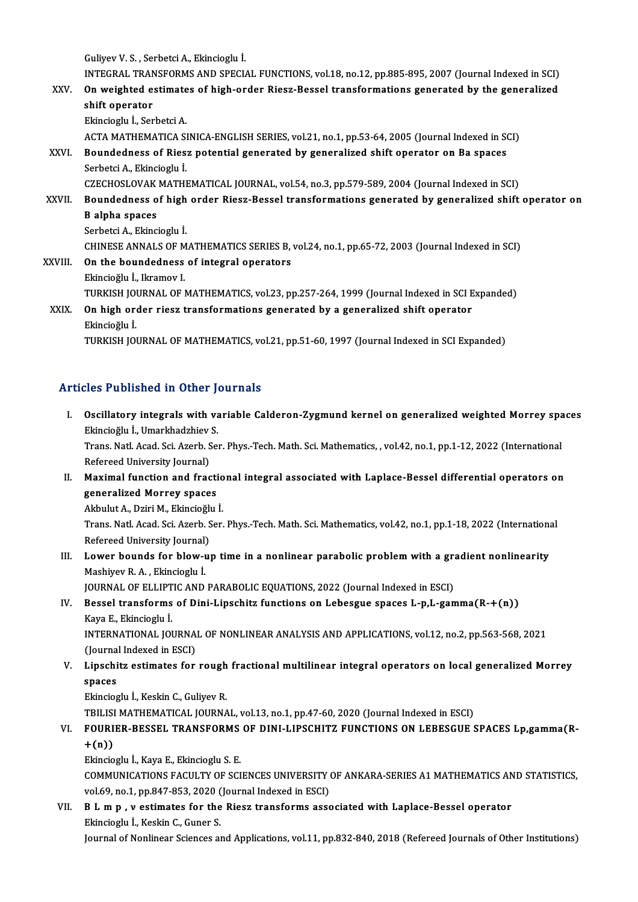GuliyevV.S. ,SerbetciA.,Ekincioglu İ.

Guliyev V. S. , Serbetci A., Ekincioglu İ.<br>INTEGRAL TRANSFORMS AND SPECIAL FUNCTIONS, vol.18, no.12, pp.885-895, 2007 (Journal Indexed in SCI)<br>On weighted estimates of high ander Biegg Bessel transformations generated by t

Guliyev V. S. , Serbetci A., Ekincioglu İ.<br>INTEGRAL TRANSFORMS AND SPECIAL FUNCTIONS, vol.18, no.12, pp.885-895, 2007 (Journal Indexed in SCI)<br>XXV. On weighted estimates of high-order Riesz-Bessel transformations gener INTEGRAL TRAN<br>On weighted ex<br>shift operator<br>Ekingiach i San On weighted estimates of high-order Riesz-Bessel transformations generated by the generalized shift operator<br>shift operator<br>Ekincioglu İ., Serbetci A.

ACTA MATHEMATICA SINICA-ENGLISH SERIES, vol.21, no.1, pp.53-64, 2005 (Journal Indexed in SCI)

### Ekincioglu İ., Serbetci A.<br>ACTA MATHEMATICA SINICA-ENGLISH SERIES, vol.21, no.1, pp.53-64, 2005 (Journal Indexed in SONNICA-ENGLISH SERIES, vol.21, no.1, pp.53-64, 2005 (Journal Indexed in SONNICA-ENGLISH SERIES, vol.21, n ACTA MATHEMATICA SI<br>Boundedness of Ries:<br>Serbetci A., Ekincioglu İ.<br>CZECHOSLOVAK MATHI Boundedness of Riesz potential generated by generalized shift operator on Ba spaces<br>Serbetci A., Ekincioglu İ.<br>CZECHOSLOVAK MATHEMATICAL JOURNAL, vol.54, no.3, pp.579-589, 2004 (Journal Indexed in SCI)<br>Boundedness of bish

Serbetci A., Ekincioglu İ.<br>CZECHOSLOVAK MATHEMATICAL JOURNAL, vol.54, no.3, pp.579-589, 2004 (Journal Indexed in SCI)<br>XXVII. Boundedness of high order Riesz-Bessel transformations generated by generalized shift operato CZECHOSLOVAK<br>Boundedness o<br>B alpha spaces<br>Serbetei A Eltine **Boundedness of high<br>B alpha spaces<br>Serbetci A., Ekincioglu İ.<br>CHINESE ANNALS OF M** B alpha spaces<br>Serbetci A., Ekincioglu İ.<br>CHINESE ANNALS OF MATHEMATICS SERIES B, vol.24, no.1, pp.65-72, 2003 (Journal Indexed in SCI)

Serbetci A., Ekincioglu I.<br>CHINESE ANNALS OF MATHEMATICS SERIES B,<br>XXVIII. On the boundedness of integral operators CHINESE ANNALS OF M<br>**On the boundedness**<br>Ekincioğlu İ., Ikramov I.<br>TURKISH JOURNAL OF I Ekincioğlu İ., Ikramov I.<br>TURKISH JOURNAL OF MATHEMATICS, vol.23, pp.257-264, 1999 (Journal Indexed in SCI Expanded) Ekincioğlu İ., Ikramov I.<br>TURKISH JOURNAL OF MATHEMATICS, vol.23, pp.257-264, 1999 (Journal Indexed in SCI E<br>XXIX. On high order riesz transformations generated by a generalized shift operator<br>Ekincieğlu İ

### TURKISH JO<mark><br>On high or</mark><br>Ekincioğlu İ.<br>TURKISH JO Ekincioğlu İ.<br>TURKISH JOURNAL OF MATHEMATICS, vol.21, pp.51-60, 1997 (Journal Indexed in SCI Expanded)

#### Articles Published in Other Journals

- rticles Published in Other Journals<br>I. Oscillatory integrals with variable Calderon-Zygmund kernel on generalized weighted Morrey spaces<br>Flingioğlu i Umarkhadzhiov S Ekincio I. denistrativ Center<br>Oscillatory integrals with va<br>Ekincioğlu İ., Umarkhadzhiev S. Oscillatory integrals with variable Calderon-Zygmund kernel on generalized weighted Morrey spa<br>Ekincioğlu İ., Umarkhadzhiev S.<br>Trans. Natl. Acad. Sci. Azerb. Ser. Phys.-Tech. Math. Sci. Mathematics, , vol.42, no.1, pp.1-12 Ekincioğlu İ., Umarkhadzhiev<br>Trans. Natl. Acad. Sci. Azerb. S<br>Refereed University Journal)<br>Maximal function and frac I . Trans. Natl. Acad. Sci. Azerb. Ser. Phys.-Tech. Math. Sci. Mathematics, , vol.42, no.1, pp.1-12, 2022 (International Refereed University Journal)<br>II. Maximal function and fractional integral associated with Laplace-Bes
- Refereed University Journal)<br>II. Maximal function and fractional integral associated with Laplace-Bessel differential operators on<br>generalized Morrey spaces Maximal function and fractio<br>generalized Morrey spaces<br>Akbulut A., Dziri M., Ekincioğlu İ.<br>Trans Natl Asad Ssi Asarb Sar

Trans. Natl. Acad. Sci. Azerb. Ser. Phys.-Tech. Math. Sci. Mathematics, vol.42, no.1, pp.1-18, 2022 (International Refereed University Journal) Akbulut A., Dziri M., Ekincioğlu<br>Trans. Natl. Acad. Sci. Azerb. S<br>Refereed University Journal)<br>Lower bounds for blow w Trans. Natl. Acad. Sci. Azerb. Ser. Phys.-Tech. Math. Sci. Mathematics, vol.42, no.1, pp.1-18, 2022 (International)<br>Refereed University Journal)<br>III. Lower bounds for blow-up time in a nonlinear parabolic problem with a gr

Refereed University Journal)<br>Lower bounds for blow-u<br>Mashiyev R. A. , Ekincioglu İ.<br>JOUPNAL OF ELLIPTIC AND Lower bounds for blow-up time in a nonlinear parabolic problem with a graditional metallic metallic metallic M<br>JOURNAL OF ELLIPTIC AND PARABOLIC EQUATIONS, 2022 (Journal Indexed in ESCI)<br>Pessel transforms of Dini Linesbits

### Mashiyev R. A. , Ekincioglu İ.<br>JOURNAL OF ELLIPTIC AND PARABOLIC EQUATIONS, 2022 (Journal Indexed in ESCI)<br>IV. Bessel transforms of Dini-Lipschitz functions on Lebesgue spaces L-p,L-gamma(R-+(n))<br>Kaya E. Ekincioglu İ. JOURNAL OF ELLIPT<br>Bessel transforms<br>Kaya E., Ekincioglu İ.<br>INTERNATIONAL IOI Bessel transforms of Dini-Lipschitz functions on Lebesgue spaces L-p,L-gamma(R-+(n))<br>Kaya E., Ekincioglu İ.<br>INTERNATIONAL JOURNAL OF NONLINEAR ANALYSIS AND APPLICATIONS, vol.12, no.2, pp.563-568, 2021<br>(Journal Indoved in E

Kaya E., Ekincioglu İ.<br>INTERNATIONAL JOURNAL OF NONLINEAR ANALYSIS AND APPLICATIONS, vol.12, no.2, pp.563-568, 2021 INTERNATIONAL JOURNAL OF NONLINEAR ANALYSIS AND APPLICATIONS, vol.12, no.2, pp.563-568, 2021<br>(Journal Indexed in ESCI)<br>V. Lipschitz estimates for rough fractional multilinear integral operators on local generalized Mor

### (Journal Indexed in ESCI)<br>Lipschitz estimates for rough<br>spaces<br>Ekincioglu İ., Keskin C., Guliyev R. Lipschitz estimates for rough<br>spaces<br>Ekincioglu İ., Keskin C., Guliyev R.<br>TPU ISLMATUEMATICAL JOUPNA spaces<br>Ekincioglu İ., Keskin C., Guliyev R.<br>TBILISI MATHEMATICAL JOURNAL, vol.13, no.1, pp.47-60, 2020 (Journal Indexed in ESCI)<br>FOURLER, RESSEL, TRANSFORMS OF DINL LIRSCHITZ FUNCTIONS ON LERESCUE (

#### Ekincioglu İ., Keskin C., Guliyev R.<br>TBILISI MATHEMATICAL JOURNAL, vol.13, no.1, pp.47-60, 2020 (Journal Indexed in ESCI)<br>VI. FOURIER-BESSEL TRANSFORMS OF DINI-LIPSCHITZ FUNCTIONS ON LEBESGUE SPACES Lp,gamma(R-TBILISI<br>FOURI<br>+(n))<br><sup>Elingio</sup> FOURIER-BESSEL TRANSFORMS<br>+(n))<br>Ekincioglu İ., Kaya E., Ekincioglu S. E.<br>COMMUNICATIONS EACULTY OF SCI +(n))<br>Ekincioglu İ., Kaya E., Ekincioglu S. E.<br>COMMUNICATIONS FACULTY OF SCIENCES UNIVERSITY OF ANKARA-SERIES A1 MATHEMATICS AND STATISTICS,

Ekincioglu İ., Kaya E., Ekincioglu S. E.<br>COMMUNICATIONS FACULTY OF SCIENCES UNIVERSITY (vol.69, no.1, pp.847-853, 2020 (Journal Indexed in ESCI)

VII. B L m p , v estimates for the Riesz transforms associated with Laplace-Bessel operator<br>Ekincioglu İ., Keskin C., Guner S. vol.69, no.1, pp.847-853, 2020 (<br>**B L m p , v estimates for the**<br>Ekincioglu İ., Keskin C., Guner S.

Journal of Nonlinear Sciences and Applications, vol.11, pp.832-840, 2018 (Refereed Journals of Other Institutions)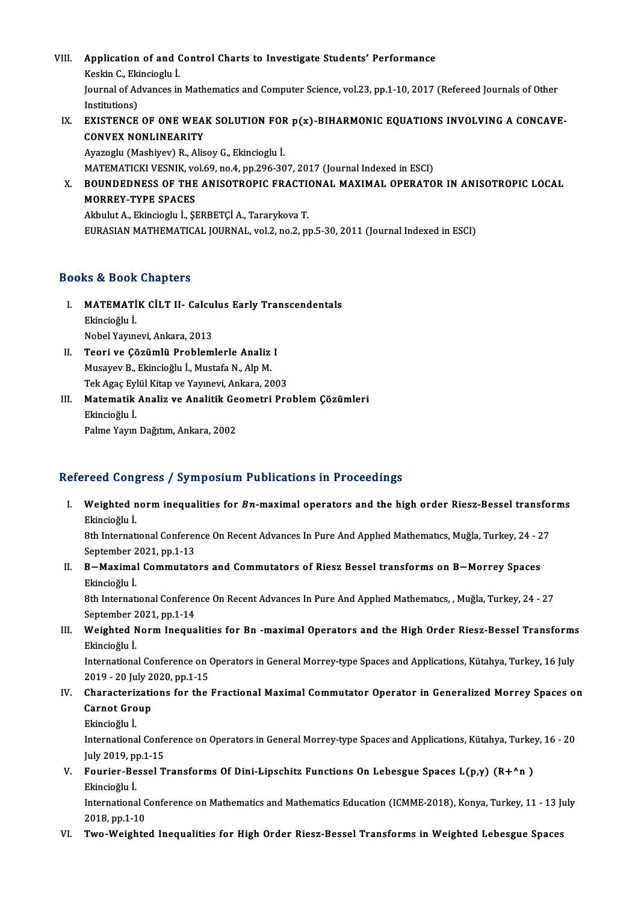- VIII. Application of and Control Charts to Investigate Students' Performance<br>Keskin G. Fkinsiesku İ **Application of and (**<br>Keskin C., Ekincioglu İ.<br>Journal of Advances in Journal of Advances in Mathematics and Computer Science, vol.23, pp.1-10, 2017 (Refereed Journals of Other<br>Institutions) Keskin C., Ekincioglu İ. Journal of Advances in Mathematics and Computer Science, vol.23, pp.1-10, 2017 (Refereed Journals of Other<br>Institutions)<br>IX. EXISTENCE OF ONE WEAK SOLUTION FOR p(x)-BIHARMONIC EQUATIONS INVOLVING A CONCAVE-<br>CONVEX NONLINEA
- Institutions)<br>EXISTENCE OF ONE WEA<br>CONVEX NONLINEARITY<br>Avazaglu (Machivau) B. Aliq EXISTENCE OF ONE WEAK SOLUTION FOR<br>CONVEX NONLINEARITY<br>Ayazoglu (Mashiyev) R., Alisoy G., Ekincioglu İ.<br>MATEMATICKI VESNIK vol 69 no 4 nn 396 30 CONVEX NONLINEARITY<br>Ayazoglu (Mashiyev) R., Alisoy G., Ekincioglu İ.<br>MATEMATICKI VESNIK, vol.69, no.4, pp.296-307, 2017 (Journal Indexed in ESCI)

Ayazoglu (Mashiyev) R., Alisoy G., Ekincioglu İ.<br>MATEMATICKI VESNIK, vol.69, no.4, pp.296-307, 2017 (Journal Indexed in ESCI)<br>X. BOUNDEDNESS OF THE ANISOTROPIC FRACTIONAL MAXIMAL OPERATOR IN ANISOTROPIC LOCAL<br>MORREY TY MATEMATICKI VESNIK, vo<br>BOUNDEDNESS OF THE<br>MORREY-TYPE SPACES BOUNDEDNESS OF THE ANISOTROPIC FRACTI<br>MORREY-TYPE SPACES<br>Akbulut A., Ekincioglu İ., ŞERBETÇİ A., Tararykova T.<br>FURASIAN MATUEMATICAL JOURNAL, val 2, no 2, ni MORREY-TYPE SPACES<br>Akbulut A., Ekincioglu İ., ŞERBETÇİ A., Tararykova T.<br>EURASIAN MATHEMATICAL JOURNAL, vol.2, no.2, pp.5-30, 2011 (Journal Indexed in ESCI)

#### Books&Book Chapters

- ooks & Book Chapters<br>I. MATEMATİK CİLT II- Calculus Early Transcendentals<br>Rhingioğlu İ Ekincioğlu İ. MATEMATİK CİLT II- Calcu<br>Ekincioğlu İ.<br>Nobel Yayınevi, Ankara, 2013<br>Teori ve Gözümlü Problem Ekincioğlu İ.<br>Nobel Yayınevi, Ankara, 2013<br>II. Teori ve Çözümlü Problemlerle Analiz I<br>Musayov B. Ekincioğlu İ. Mustafa N. Alp M
- Nobel Yayınevi, Ankara, 2013<br>Teori ve Çözümlü Problemlerle Analiz<br>Musayev B., Ekincioğlu İ., Mustafa N., Alp M.<br>Tek Agee Eylül Kitan ve Yayınevi, Ankara, 20 Musayev B., Ekincioğlu İ., Mustafa N., Alp M.<br>Tek Agaç Eylül Kitap ve Yayınevi, Ankara, 2003 Musayev B., Ekincioğlu İ., Mustafa N., Alp M.<br>Tek Agaç Eylül Kitap ve Yayınevi, Ankara, 2003<br>III. Matematik Analiz ve Analitik Geometri Problem Çözümleri<br>Flincieğlu İ
- Tek Agaç Eyl<br>**Matematik**<br>Ekincioğlu İ.<br>Pelme Yeyn **Matematik Analiz ve Analitik Ge**<br>Ekincioğlu İ.<br>Palme Yayın Dağıtım, Ankara, 2002

# Palme Yayın Dağıtım, Ankara, 2002<br>Refereed Congress / Symposium Publications in Proceedings

efereed Congress / Symposium Publications in Proceedings<br>I. Weighted norm inequalities for *Bn-*maximal operators and the high order Riesz-Bessel transforms<br>Flingiočhy i Neighted n<br>Weighted n<br>Ekincioğlu İ. Weighted norm inequalities for *Bn*-maximal operators and the high order Riesz-Bessel transfo:<br>Ekincioğlu İ.<br>8th International Conference On Recent Advances In Pure And Applied Mathematics, Muğla, Turkey, 24 - 27<br>Sentember

Ekincioğlu İ.<br>8th International Conference On Recent Advances In Pure And Applied Mathematics, Muğla, Turkey, 24 - 27<br>September 2021, pp.1-13 8th International Conference On Recent Advances In Pure And Applied Mathematics, Muğla, Turkey, 24 - 2<br>September 2021, pp.1-13<br>II. B−Maximal Commutators and Commutators of Riesz Bessel transforms on B−Morrey Spaces

September 2<br>**B – Maxima**l<br>Ekincioğlu İ.<br><sup>9th Internati</sup> B—Maximal Commutators and Commutators of Riesz Bessel transforms on B—Morrey Spaces<br>Ekincioğlu İ.<br>8th International Conference On Recent Advances In Pure And Applied Mathematics, , Muğla, Turkey, 24 - 27<br>September 2021, np

Ekincioğlu İ.<br>8th International Conferer<br>September 2021, pp.1-14<br>Weighted Norm Inceus 8th International Conference On Recent Advances In Pure And Applied Mathematics, , Muğla, Turkey, 24 - 27<br>September 2021, pp.1-14<br>III. Weighted Norm Inequalities for Bn -maximal Operators and the High Order Riesz-Bessel Tr

September 2<br>Weighted N<br>Ekincioğlu İ.<br>Internationa Weighted Norm Inequalities for Bn -maximal Operators and the High Order Riesz-Bessel Transforms<br>Ekincioğlu İ.<br>International Conference on Operators in General Morrey-type Spaces and Applications, Kütahya, Turkey, 16 July<br>2

Ekincioğlu İ.<br>International Conference on (<br>2019 - 20 July 2020, pp.1-15<br>Characterinations for the International Conference on Operators in General Morrey-type Spaces and Applications, Kütahya, Turkey, 16 July<br>2019 - 20 July 2020, pp.1-15<br>IV. Characterizations for the Fractional Maximal Commutator Operator in Generalize

### 2019 - 20 July 2020, pp.1-15<br>Characterizations for the<br>Carnot Group<br>Ekincioğlu İ. IV. Characterizations for the Fractional Maximal Commutator Operator in Generalized Morrey Spaces on

Carnot Group<br>Ekincioğlu İ.<br>International Conference on Operators in General Morrey-type Spaces and Applications, Kütahya, Turkey, 16 - 20 Ekincioğlu İ.<br>International Confe<br>July 2019, pp.1-15<br>Fourion Bossel T International Conference on Operators in General Morrey-type Spaces and Applications, Kütahya, Turke<br>July 2019, pp.1-15<br>V. Fourier-Bessel Transforms Of Dini-Lipschitz Functions On Lebesgue Spaces L(p,γ) (R+^n )<br>Ekingioğlu

July 2019, p<br>**Fourier-Be<br>Ekincioğlu İ.**<br>Internationa Fourier-Bessel Transforms Of Dini-Lipschitz Functions On Lebesgue Spaces L(p,y) (R+^n )<br>Ekincioğlu İ.<br>International Conference on Mathematics and Mathematics Education (ICMME-2018), Konya, Turkey, 11 - 13 July<br>2018.nn.1.10

Ekincioğlu İ.<br>International C<br>2018, pp.1-10<br>Two Woighte International Conference on Mathematics and Mathematics Education (ICMME-2018), Konya, Turkey, 11 - 13 Ju<br>2018, pp.1-10<br>VI. Two-Weighted Inequalities for High Order Riesz-Bessel Transforms in Weighted Lebesgue Spaces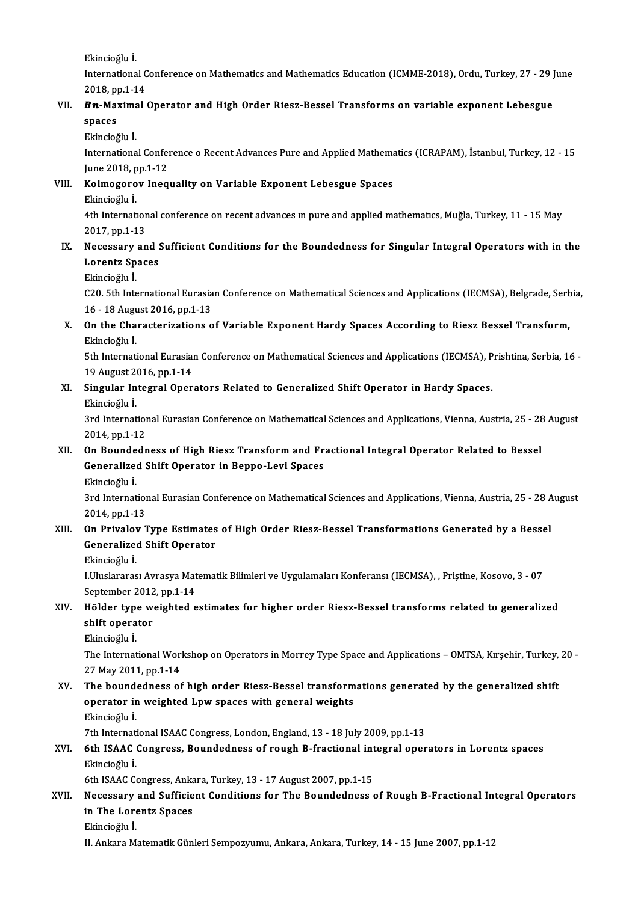Ekincioğlu İ.

Ekincioğlu İ.<br>International Conference on Mathematics and Mathematics Education (ICMME-2018), Ordu, Turkey, 27 - 29 June<br>2018.np.1.14 Ekincioğlu İ.<br>International C<br>2018, pp.1-14<br>**Pn. M**aximal International Conference on Mathematics and Mathematics Education (ICMME-2018), Ordu, Turkey, 27 - 29 J<br>2018, pp.1-14<br>VII. **Bn-Maximal Operator and High Order Riesz-Bessel Transforms on variable exponent Lebesgue** 

## 2018, p<sub>l</sub><br>**Bn-Ma:**<br>spaces *Bn***-Maxima<br>spaces<br>Ekincioğlu İ.<br>Internationa**

spaces<br>Ekincioğlu İ.<br>International Conference o Recent Advances Pure and Applied Mathematics (ICRAPAM), İstanbul, Turkey, 12 - 15<br>Iune 2018 nn 1 12 Ekincioğlu İ.<br>International Confer<br>June 2018, pp.1-12<br>Kelmeserev Ines International Conference o Recent Advances Pure and Applied Mathema<br>June 2018, pp.1-12<br>VIII. Kolmogorov Inequality on Variable Exponent Lebesgue Spaces<br>Ekincieğlu İ

# June 2018, p<br><mark>Kolmogoro</mark><br>Ekincioğlu İ.<br>4th Internati

Kolmogorov Inequality on Variable Exponent Lebesgue Spaces<br>Ekincioğlu İ.<br>4th International conference on recent advances in pure and applied mathematics, Muğla, Turkey, 11 - 15 May<br>2017.np.1.12 Ekincioğlu İ.<br>4th Internation<br>2017, pp.1-13<br>Nossasaru an

#### IX. Necessary and Sufficient Conditions for the Boundedness for Singular Integral Operators with in the 2017, pp.1-13<br>Necessary and :<br>Lorentz Spaces<br>Elingieğlu İ Necessary<br>Lorentz Sp<br>Ekincioğlu İ.<br>C20 Eth Inte

Lorentz Spaces<br>Ekincioğlu İ.<br>C20. 5th International Eurasian Conference on Mathematical Sciences and Applications (IECMSA), Belgrade, Serbia, Ekincioğlu İ.<br>C20. 5th International Eurasia<br>16 - 18 August 2016, pp.1-13<br>On the Charasterinations e C20. 5th International Eurasian Conference on Mathematical Sciences and Applications (IECMSA), Belgrade, Serb<br>16 - 18 August 2016, pp.1-13<br>X. On the Characterizations of Variable Exponent Hardy Spaces According to Riesz Be

## 16 - 18 Augu<br>**On the Cha**<br>Ekincioğlu İ. On the Characterizations of Variable Exponent Hardy Spaces According to Riesz Bessel Transform,<br>Ekincioğlu İ.<br>5th International Eurasian Conference on Mathematical Sciences and Applications (IECMSA), Prishtina, Serbia, 16<br>

Ekincioğlu İ.<br>5th International Eurasian Conference on Mathematical Sciences and Applications (IECMSA), Prishtina, Serbia, 16<br>19 August 2016, pp.1-14 5th International Eurasian Conference on Mathematical Sciences and Applications (IECMSA), P<br>19 August 2016, pp.1-14<br>XI. Singular Integral Operators Related to Generalized Shift Operator in Hardy Spaces.

# 19 August 2<br>Singular In<br>Ekincioğlu İ.<br><sup>2</sup>rd Internat

Singular Integral Operators Related to Generalized Shift Operator in Hardy Spaces.<br>Ekincioğlu İ.<br>3rd International Eurasian Conference on Mathematical Sciences and Applications, Vienna, Austria, 25 - 28 August<br>2014 nn 1 12 Ekincioğlu İ.<br>3rd Internation<br>2014, pp.1-12<br>On Boundedr 3rd International Eurasian Conference on Mathematical Sciences and Applications, Vienna, Austria, 25 - 28<br>2014, pp.1-12<br>XII. On Boundedness of High Riesz Transform and Fractional Integral Operator Related to Bessel<br>Congral

## 2014, pp.1-12<br>On Boundedness of High Riesz Transform and Fr.<br>Generalized Shift Operator in Beppo-Levi Spaces<br>Flingieğlu i On Bounde<br>Generalize<br>Ekincioğlu İ.<br><sup>2nd Internat</sup>

Generalized Shift Operator in Beppo-Levi Spaces<br>Ekincioğlu İ.<br>3rd International Eurasian Conference on Mathematical Sciences and Applications, Vienna, Austria, 25 - 28 August Ekincioğlu İ.<br>3rd Internation<br>2014, pp.1-13<br>On Privelev <sup>1</sup> 3rd International Eurasian Conference on Mathematical Sciences and Applications, Vienna, Austria, 25 - 28 A<br>2014, pp.1-13<br>XIII. On Privalov Type Estimates of High Order Riesz-Bessel Transformations Generated by a Bessel<br>Co

### 2014, pp.1-13<br>On Privalov Type Estimates of High Order Riesz-Bessel Transformations Generated by a Bessel<br>Generalized Shift Operator<br>Ekincioğlu İ. Generalized Shift Operator

Generalized Shift Operator<br>Ekincioğlu İ.<br>I.Uluslararası Avrasya Matematik Bilimleri ve Uygulamaları Konferansı (IECMSA), , Priştine, Kosovo, 3 - 07<br>Sentember 2012, np.1.14 Ekincioğlu İ.<br>I.Uluslararası Avrasya Mat<br>September 2012, pp.1-14<br>Hölder tune weishted e I.Uluslararası Avrasya Matematik Bilimleri ve Uygulamaları Konferansı (IECMSA), , Priştine, Kosovo, 3 - 07<br>September 2012, pp.1-14<br>XIV. Hölder type weighted estimates for higher order Riesz-Bessel transforms related to

# September 2012, pp.1-14<br>Hölder type weighted estimates for higher order Riesz-Bessel transforms related to generalized<br>shift operator

Ekincioğlu İ.

shift operator<br>Ekincioğlu İ.<br>The International Workshop on Operators in Morrey Type Space and Applications – OMTSA, Kırşehir, Turkey, 20 -Ekincioğlu İ.<br>The International Wor<br>27 May 2011, pp.1-14<br>The boundedness of The International Workshop on Operators in Morrey Type Space and Applications – OMTSA, Kırşehir, Turkey,<br>27 May 2011, pp.1-14<br>XV. The boundedness of high order Riesz-Bessel transformations generated by the generalized shif

### 27 May 2011, pp.1-14<br>The boundedness of high order Riesz-Bessel transform<br>operator in weighted Lpw spaces with general weights<br>Flinsieğly i The bound<br>operator ir<br>Ekincioğlu İ.<br>7th Internati operator in weighted Lpw spaces with general weights<br>Ekincioğlu İ.<br>7th International ISAAC Congress, London, England, 13 - 18 July 2009, pp.1-13<br>6th ISAAC Congress, Poundedness of rough B frastional integral oper

### Ekincioğlu İ.<br>7th International ISAAC Congress, London, England, 13 - 18 July 2009, pp.1-13<br>XVI. 6th ISAAC Congress, Boundedness of rough B-fractional integral operators in Lorentz spaces<br>Ekingioğlu İ 7th Internati<br>**6th ISAAC**<br>Ekincioğlu İ.<br>6th ISAAC Co 6th ISAAC Congress, Boundedness of rough B-fractional int<br>Ekincioğlu İ.<br>6th ISAAC Congress, Ankara, Turkey, 13 - 17 August 2007, pp.1-15<br>Negegeeny and Sufficient Conditions for The Boundedness (

#### Ekincioğlu İ.<br>6th ISAAC Congress, Ankara, Turkey, 13 - 17 August 2007, pp.1-15<br>XVII. Necessary and Sufficient Conditions for The Boundedness of Rough B-Fractional Integral Operators<br>in The Lorents Spaces 6th ISAAC Congress, Anka<br>Necessary and Sufficie<br>in The Lorentz Spaces<br>Elingieğhui Necessary<br>in The Lore<br>Ekincioğlu İ.<br>U. Ankara M in The Lorentz Spaces<br>Ekincioğlu İ.<br>II. Ankara Matematik Günleri Sempozyumu, Ankara, Ankara, Turkey, 14 - 15 June 2007, pp.1-12